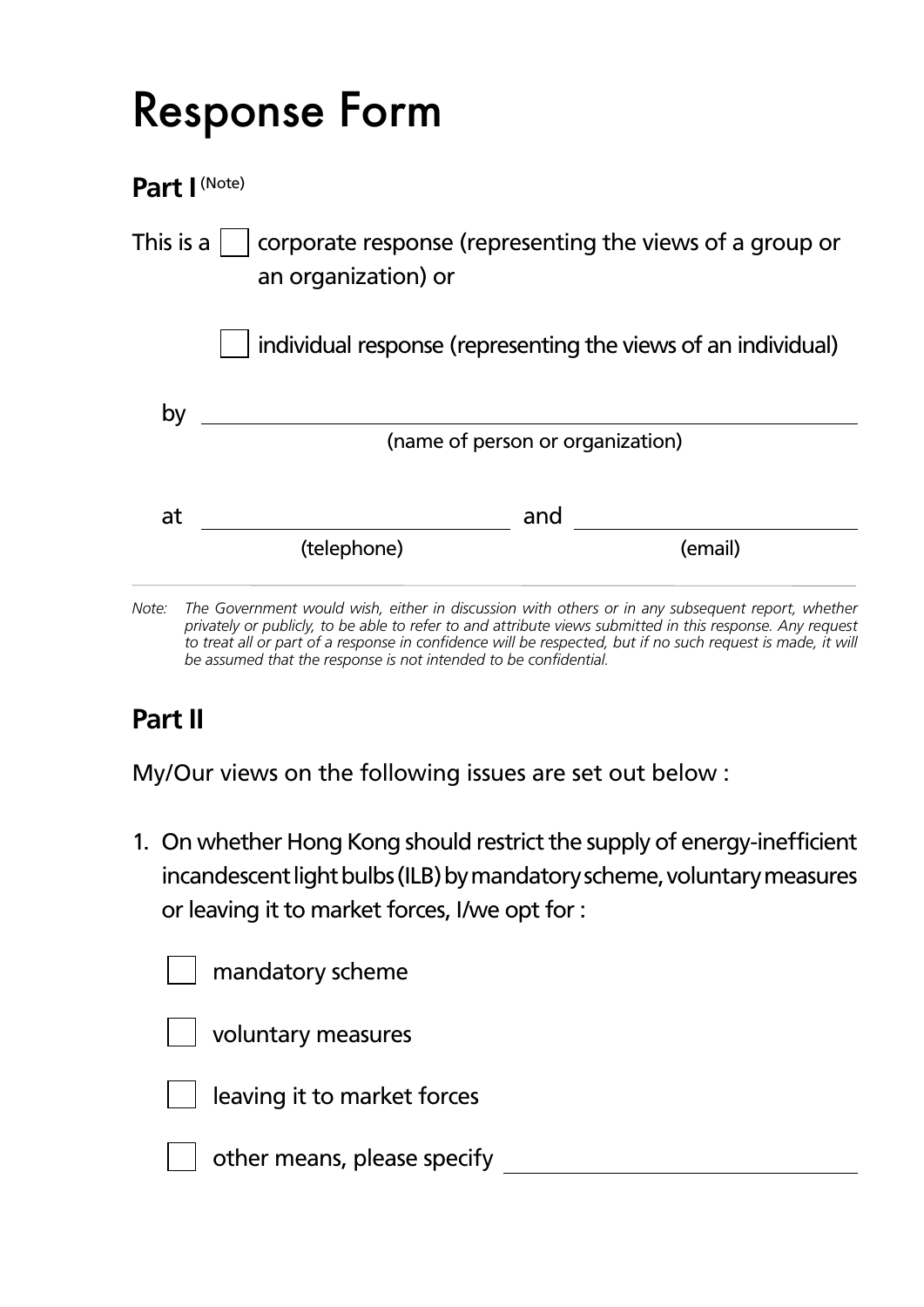## Response Form

**Part I** (Note)

| This is a $\mathbin\Vert$<br>corporate response (representing the views of a group or<br>an organization) or |                                                               |         |  |  |  |
|--------------------------------------------------------------------------------------------------------------|---------------------------------------------------------------|---------|--|--|--|
|                                                                                                              | individual response (representing the views of an individual) |         |  |  |  |
| by                                                                                                           | (name of person or organization)                              |         |  |  |  |
| at                                                                                                           | and<br>(telephone)                                            | (email) |  |  |  |
|                                                                                                              |                                                               |         |  |  |  |

*Note: The Government would wish, either in discussion with others or in any subsequent report, whether privately or publicly, to be able to refer to and attribute views submitted in this response. Any request*  to treat all or part of a response in confidence will be respected, but if no such request is made, it will *be assumed that the response is not intended to be confidential.*

## **Part II**

My/Our views on the following issues are set out below :

1. On whether Hong Kong should restrict the supply of energy-inefficient incandescent light bulbs (ILB) by mandatory scheme, voluntary measures or leaving it to market forces, I/we opt for :

|  | mandatory scheme |
|--|------------------|
|--|------------------|

voluntary measures



leaving it to market forces

other means, please specify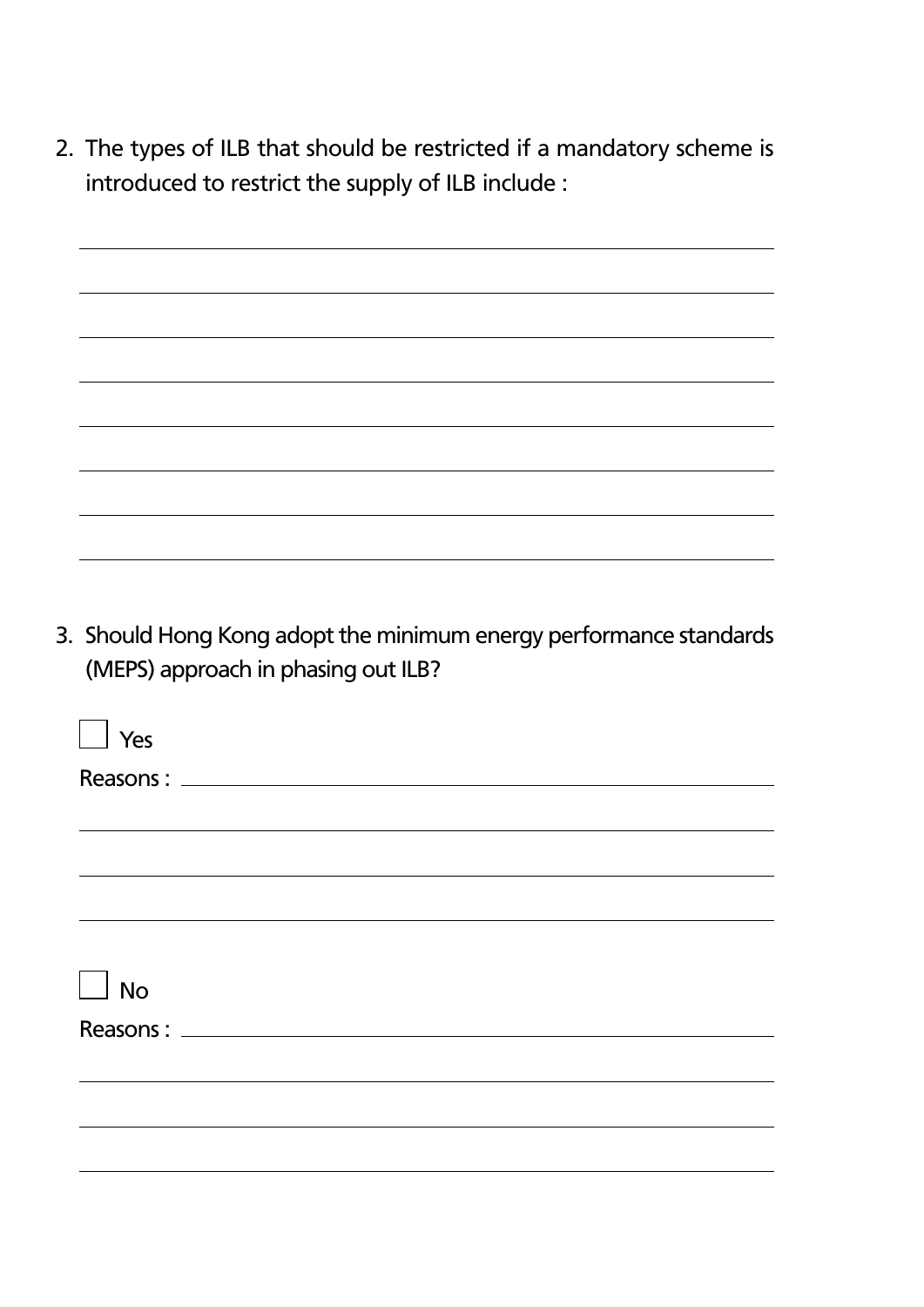2. The types of ILB that should be restricted if a mandatory scheme is introduced to restrict the supply of ILB include :

| <u> 1989 - Johann Stoff, amerikansk politiker (* 1989)</u> |  |
|------------------------------------------------------------|--|
|                                                            |  |
|                                                            |  |
|                                                            |  |
|                                                            |  |
|                                                            |  |
|                                                            |  |
|                                                            |  |
|                                                            |  |
|                                                            |  |
|                                                            |  |
|                                                            |  |
|                                                            |  |
|                                                            |  |
|                                                            |  |
|                                                            |  |
|                                                            |  |
|                                                            |  |
|                                                            |  |

3. Should Hong Kong adopt the minimum energy performance standards (MEPS) approach in phasing out ILB?

| $\Box$ Yes |  |  |  |
|------------|--|--|--|
|            |  |  |  |
|            |  |  |  |
|            |  |  |  |
|            |  |  |  |
|            |  |  |  |
| $\Box$ No  |  |  |  |
|            |  |  |  |
|            |  |  |  |
|            |  |  |  |
|            |  |  |  |
|            |  |  |  |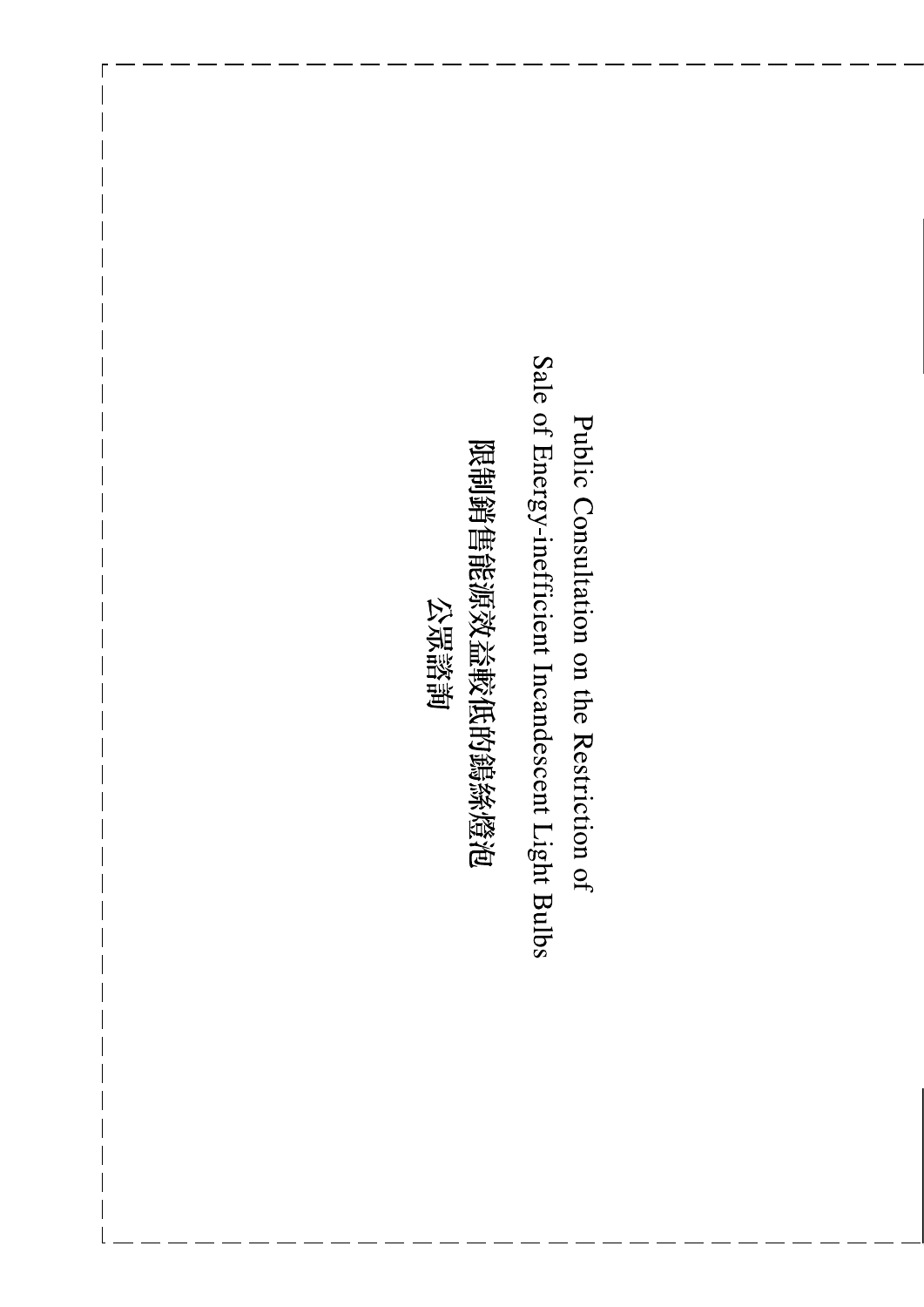Sale of Energy-inefficient Incandescent Light Bulbs Public Consultation on the Restriction of

限制銷售能源效益較低的鐫絲燈泡 公眾諮詢